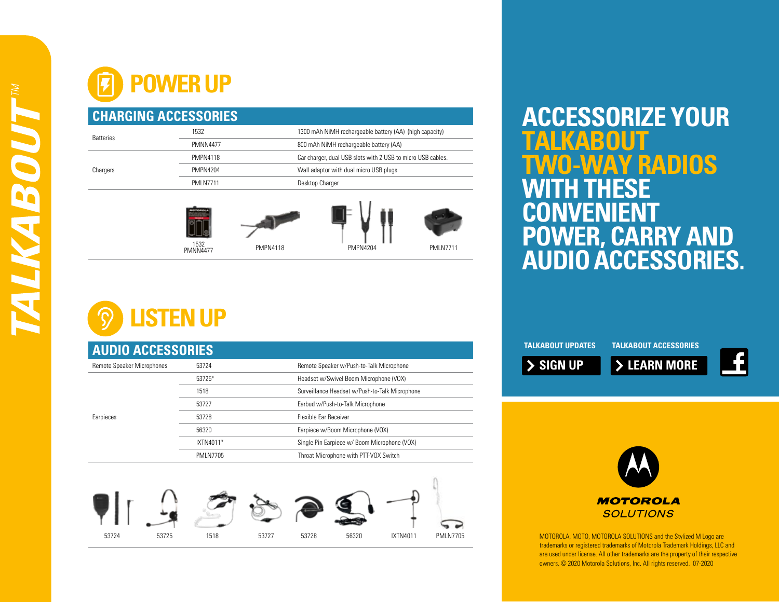## **POWER UP**



## **STEN UP**

| <b>AUDIO ACCESSORIES</b>          |                  |                                                |  |  |  |  |  |  |
|-----------------------------------|------------------|------------------------------------------------|--|--|--|--|--|--|
| <b>Remote Speaker Microphones</b> | 53724            | Remote Speaker w/Push-to-Talk Microphone       |  |  |  |  |  |  |
|                                   | 53725*           | Headset w/Swivel Boom Microphone (VOX)         |  |  |  |  |  |  |
|                                   | 1518             | Surveillance Headset w/Push-to-Talk Microphone |  |  |  |  |  |  |
|                                   | 53727            | Earbud w/Push-to-Talk Microphone               |  |  |  |  |  |  |
| Earpieces                         | 53728            | <b>Flexible Far Receiver</b>                   |  |  |  |  |  |  |
|                                   | 56320            | Earpiece w/Boom Microphone (VOX)               |  |  |  |  |  |  |
|                                   | IXTN4011*        | Single Pin Earpiece w/ Boom Microphone (VOX)   |  |  |  |  |  |  |
|                                   | <b>PMI N7705</b> | Throat Microphone with PTT-VOX Switch          |  |  |  |  |  |  |
|                                   |                  |                                                |  |  |  |  |  |  |



## **ACCESSORIZE YOUR**   $\bullet$ **AY RADIOS WITH THESE CONVENIENT POWER, CARRY AND AUDIO ACCESSORIES.**

**TALKABOUT UPDATES SIGN UP TALKABOUT ACCESSORIES LEARN MORE**



MOTOROLA, MOTO, MOTOROLA SOLUTIONS and the Stylized M Logo are trademarks or registered trademarks of Motorola Trademark Holdings, LLC and are used under license. All other trademarks are the property of their respective owners. © 2020 Motorola Solutions, Inc. All rights reserved. 07-2020